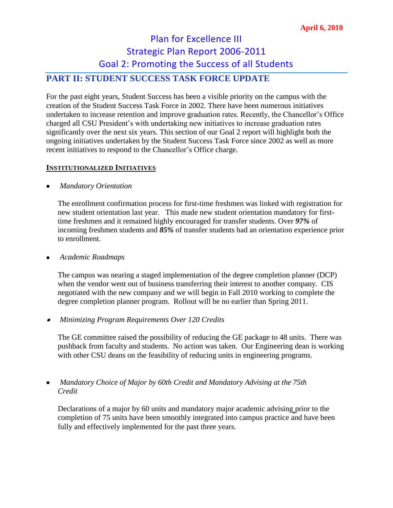# Plan for Excellence III Strategic Plan Report 2006-2011 Goal 2: Promoting the Success of all Students

## **PART II: STUDENT SUCCESS TASK FORCE UPDATE**

For the past eight years, Student Success has been a visible priority on the campus with the creation of the Student Success Task Force in 2002. There have been numerous initiatives undertaken to increase retention and improve graduation rates. Recently, the Chancellor's Office charged all CSU President's with undertaking new initiatives to increase graduation rates significantly over the next six years. This section of our Goal 2 report will highlight both the ongoing initiatives undertaken by the Student Success Task Force since 2002 as well as more recent initiatives to respond to the Chancellor's Office charge.

### **INSTITUTIONALIZED INITIATIVES**

### *Mandatory Orientation*

The enrollment confirmation process for first-time freshmen was linked with registration for new student orientation last year. This made new student orientation mandatory for firsttime freshmen and it remained highly encouraged for transfer students. Over *97%* of incoming freshmen students and *85%* of transfer students had an orientation experience prior to enrollment.

*Academic Roadmaps*

The campus was nearing a staged implementation of the degree completion planner (DCP) when the vendor went out of business transferring their interest to another company. CIS negotiated with the new company and we will begin in Fall 2010 working to complete the degree completion planner program. Rollout will be no earlier than Spring 2011.

### *Minimizing Program Requirements Over 120 Credits*

The GE committee raised the possibility of reducing the GE package to 48 units. There was pushback from faculty and students. No action was taken. Our Engineering dean is working with other CSU deans on the feasibility of reducing units in engineering programs.

### *Mandatory Choice of Major by 60th Credit and Mandatory Advising at the 75th Credit*

Declarations of a major by 60 units and mandatory major academic advising prior to the completion of 75 units have been smoothly integrated into campus practice and have been fully and effectively implemented for the past three years.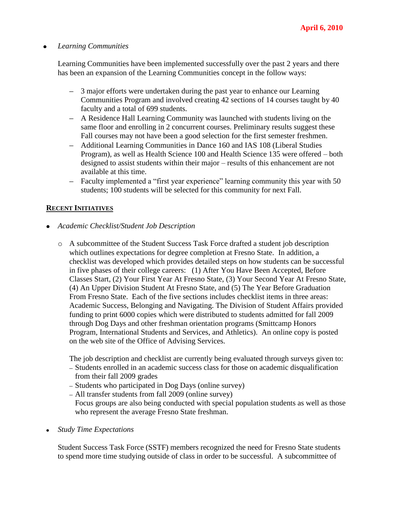#### *Learning Communities*  $\bullet$

Learning Communities have been implemented successfully over the past 2 years and there has been an expansion of the Learning Communities concept in the follow ways:

- 3 major efforts were undertaken during the past year to enhance our Learning Communities Program and involved creating 42 sections of 14 courses taught by 40 faculty and a total of 699 students.
- A Residence Hall Learning Community was launched with students living on the same floor and enrolling in 2 concurrent courses. Preliminary results suggest these Fall courses may not have been a good selection for the first semester freshmen.
- Additional Learning Communities in Dance 160 and IAS 108 (Liberal Studies Program), as well as Health Science 100 and Health Science 135 were offered – both designed to assist students within their major – results of this enhancement are not available at this time.
- Faculty implemented a "first year experience" learning community this year with 50 students; 100 students will be selected for this community for next Fall.

### **RECENT INITIATIVES**

- *Academic Checklist/Student Job Description* 
	- o A subcommittee of the Student Success Task Force drafted a student job description which outlines expectations for degree completion at Fresno State. In addition, a checklist was developed which provides detailed steps on how students can be successful in five phases of their college careers: (1) After You Have Been Accepted, Before Classes Start, (2) Your First Year At Fresno State, (3) Your Second Year At Fresno State, (4) An Upper Division Student At Fresno State, and (5) The Year Before Graduation From Fresno State. Each of the five sections includes checklist items in three areas: Academic Success, Belonging and Navigating. The Division of Student Affairs provided funding to print 6000 copies which were distributed to students admitted for fall 2009 through Dog Days and other freshman orientation programs (Smittcamp Honors Program, International Students and Services, and Athletics). An online copy is posted on the web site of the Office of Advising Services.

The job description and checklist are currently being evaluated through surveys given to:

- Students enrolled in an academic success class for those on academic disqualification from their fall 2009 grades
- Students who participated in Dog Days (online survey)
- All transfer students from fall 2009 (online survey)
- Focus groups are also being conducted with special population students as well as those who represent the average Fresno State freshman.
- *Study Time Expectations*

Student Success Task Force (SSTF) members recognized the need for Fresno State students to spend more time studying outside of class in order to be successful. A subcommittee of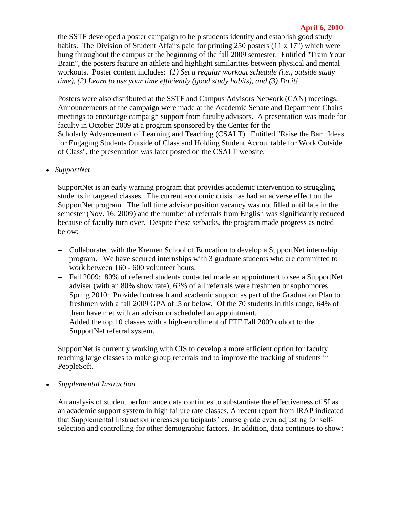#### **April 6, 2010**

the SSTF developed a poster campaign to help students identify and establish good study habits. The Division of Student Affairs paid for printing 250 posters (11 x 17") which were hung throughout the campus at the beginning of the fall 2009 semester. Entitled "Train Your Brain", the posters feature an athlete and highlight similarities between physical and mental workouts. Poster content includes: (*1) Set a regular workout schedule (i.e., outside study time), (2) Learn to use your time efficiently (good study habits), and (3) Do it!*

Posters were also distributed at the SSTF and Campus Advisors Network (CAN) meetings. Announcements of the campaign were made at the Academic Senate and Department Chairs meetings to encourage campaign support from faculty advisors. A presentation was made for faculty in October 2009 at a program sponsored by the Center for the Scholarly Advancement of Learning and Teaching (CSALT). Entitled "Raise the Bar: Ideas for Engaging Students Outside of Class and Holding Student Accountable for Work Outside of Class", the presentation was later posted on the CSALT website.

*SupportNet*

SupportNet is an early warning program that provides academic intervention to struggling students in targeted classes. The current economic crisis has had an adverse effect on the SupportNet program. The full time advisor position vacancy was not filled until late in the semester (Nov. 16, 2009) and the number of referrals from English was significantly reduced because of faculty turn over. Despite these setbacks, the program made progress as noted below:

- Collaborated with the Kremen School of Education to develop a SupportNet internship program. We have secured internships with 3 graduate students who are committed to work between 160 - 600 volunteer hours.
- Fall 2009: 80% of referred students contacted made an appointment to see a SupportNet adviser (with an 80% show rate); 62% of all referrals were freshmen or sophomores.
- Spring 2010: Provided outreach and academic support as part of the Graduation Plan to freshmen with a fall 2009 GPA of .5 or below. Of the 70 students in this range, 64% of them have met with an advisor or scheduled an appointment.
- Added the top 10 classes with a high-enrollment of FTF Fall 2009 cohort to the SupportNet referral system.

SupportNet is currently working with CIS to develop a more efficient option for faculty teaching large classes to make group referrals and to improve the tracking of students in PeopleSoft.

*Supplemental Instruction*

An analysis of student performance data continues to substantiate the effectiveness of SI as an academic support system in high failure rate classes. A recent report from IRAP indicated that Supplemental Instruction increases participants' course grade even adjusting for selfselection and controlling for other demographic factors. In addition, data continues to show: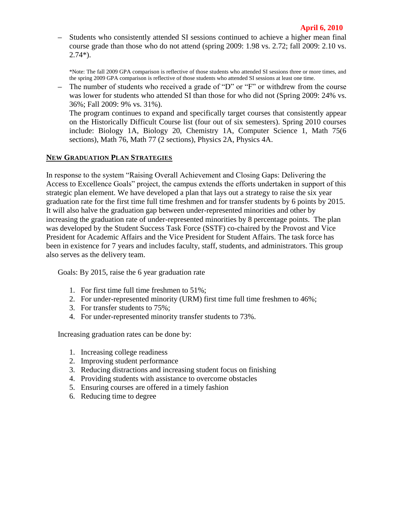Students who consistently attended SI sessions continued to achieve a higher mean final course grade than those who do not attend (spring 2009: 1.98 vs. 2.72; fall 2009: 2.10 vs. 2.74\*).

\*Note: The fall 2009 GPA comparison is reflective of those students who attended SI sessions three or more times, and the spring 2009 GPA comparison is reflective of those students who attended SI sessions at least one time.

The number of students who received a grade of "D" or "F" or withdrew from the course  $\equiv$ was lower for students who attended SI than those for who did not (Spring 2009: 24% vs. 36%; Fall 2009: 9% vs. 31%). The program continues to expand and specifically target courses that consistently appear

on the Historically Difficult Course list (four out of six semesters). Spring 2010 courses include: Biology 1A, Biology 20, Chemistry 1A, Computer Science 1, Math 75(6 sections), Math 76, Math 77 (2 sections), Physics 2A, Physics 4A.

#### **NEW GRADUATION PLAN STRATEGIES**

In response to the system "Raising Overall Achievement and Closing Gaps: Delivering the Access to Excellence Goals" project, the campus extends the efforts undertaken in support of this strategic plan element. We have developed a plan that lays out a strategy to raise the six year graduation rate for the first time full time freshmen and for transfer students by 6 points by 2015. It will also halve the graduation gap between under-represented minorities and other by increasing the graduation rate of under-represented minorities by 8 percentage points. The plan was developed by the Student Success Task Force (SSTF) co-chaired by the Provost and Vice President for Academic Affairs and the Vice President for Student Affairs. The task force has been in existence for 7 years and includes faculty, staff, students, and administrators. This group also serves as the delivery team.

Goals: By 2015, raise the 6 year graduation rate

- 1. For first time full time freshmen to 51%;
- 2. For under-represented minority (URM) first time full time freshmen to 46%;
- 3. For transfer students to 75%;
- 4. For under-represented minority transfer students to 73%.

Increasing graduation rates can be done by:

- 1. Increasing college readiness
- 2. Improving student performance
- 3. Reducing distractions and increasing student focus on finishing
- 4. Providing students with assistance to overcome obstacles
- 5. Ensuring courses are offered in a timely fashion
- 6. Reducing time to degree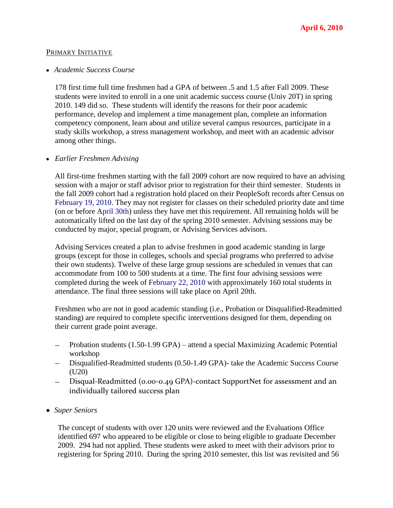#### PRIMARY INITIATIVE

#### *Academic Success Course*

178 first time full time freshmen had a GPA of between .5 and 1.5 after Fall 2009. These students were invited to enroll in a one unit academic success course (Univ 20T) in spring 2010. 149 did so. These students will identify the reasons for their poor academic performance, develop and implement a time management plan, complete an information competency component, learn about and utilize several campus resources, participate in a study skills workshop, a stress management workshop, and meet with an academic advisor among other things.

#### *Earlier Freshmen Advising*

All first-time freshmen starting with the fall 2009 cohort are now required to have an advising session with a major or staff advisor prior to registration for their third semester. Students in the fall 2009 cohort had a registration hold placed on their PeopleSoft records after Census on February 19, 2010. They may not register for classes on their scheduled priority date and time (on or before April 30th) unless they have met this requirement. All remaining holds will be automatically lifted on the last day of the spring 2010 semester. Advising sessions may be conducted by major, special program, or Advising Services advisors.

Advising Services created a plan to advise freshmen in good academic standing in large groups (except for those in colleges, schools and special programs who preferred to advise their own students). Twelve of these large group sessions are scheduled in venues that can accommodate from 100 to 500 students at a time. The first four advising sessions were completed during the week of February 22, 2010 with approximately 160 total students in attendance. The final three sessions will take place on April 20th.

Freshmen who are not in good academic standing (i.e., Probation or Disqualified-Readmitted standing) are required to complete specific interventions designed for them, depending on their current grade point average.

- Probation students (1.50-1.99 GPA) attend a special Maximizing Academic Potential workshop
- $\equiv$ Disqualified-Readmitted students (0.50-1.49 GPA)- take the Academic Success Course (U20)
- Disqual-Readmitted (0.00-0.49 GPA)-contact SupportNet for assessment and an  $=$ individually tailored success plan
- *Super Seniors*

The concept of students with over 120 units were reviewed and the Evaluations Office identified 697 who appeared to be eligible or close to being eligible to graduate December 2009. 294 had not applied. These students were asked to meet with their advisors prior to registering for Spring 2010. During the spring 2010 semester, this list was revisited and 56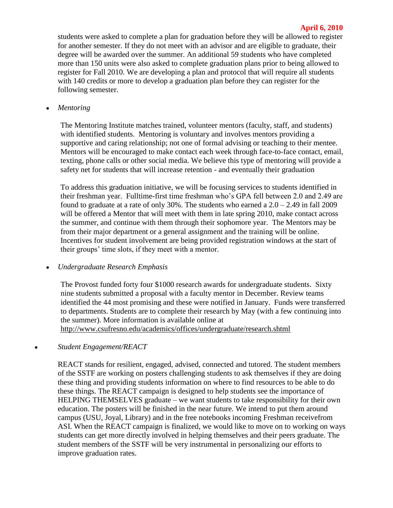#### **April 6, 2010**

students were asked to complete a plan for graduation before they will be allowed to register for another semester. If they do not meet with an advisor and are eligible to graduate, their degree will be awarded over the summer. An additional 59 students who have completed more than 150 units were also asked to complete graduation plans prior to being allowed to register for Fall 2010. We are developing a plan and protocol that will require all students with 140 credits or more to develop a graduation plan before they can register for the following semester.

*Mentoring*   $\bullet$ 

> The Mentoring Institute matches trained, volunteer mentors (faculty, staff, and students) with identified students. Mentoring is voluntary and involves mentors providing a supportive and caring relationship; not one of formal advising or teaching to their mentee. Mentors will be encouraged to make contact each week through face-to-face contact, email, texting, phone calls or other social media. We believe this type of mentoring will provide a safety net for students that will increase retention - and eventually their graduation

> To address this graduation initiative, we will be focusing services to students identified in their freshman year. Fulltime-first time freshman who's GPA fell between 2.0 and 2.49 are found to graduate at a rate of only 30%. The students who earned a  $2.0 - 2.49$  in fall 2009 will be offered a Mentor that will meet with them in late spring 2010, make contact across the summer, and continue with them through their sophomore year. The Mentors may be from their major department or a general assignment and the training will be online. Incentives for student involvement are being provided registration windows at the start of their groups' time slots, if they meet with a mentor.

#### *Undergraduate Research Emphasis*   $\bullet$

The Provost funded forty four \$1000 research awards for undergraduate students. Sixty nine students submitted a proposal with a faculty mentor in December. Review teams identified the 44 most promising and these were notified in January. Funds were transferred to departments. Students are to complete their research by May (with a few continuing into the summer). More information is available online at <http://www.csufresno.edu/academics/offices/undergraduate/research.shtml>

#### *Student Engagement/REACT*  $\bullet$

REACT stands for resilient, engaged, advised, connected and tutored. The student members of the SSTF are working on posters challenging students to ask themselves if they are doing these thing and providing students information on where to find resources to be able to do these things. The REACT campaign is designed to help students see the importance of HELPING THEMSELVES graduate – we want students to take responsibility for their own education. The posters will be finished in the near future. We intend to put them around campus (USU, Joyal, Library) and in the free notebooks incoming Freshman receivefrom ASI. When the REACT campaign is finalized, we would like to move on to working on ways students can get more directly involved in helping themselves and their peers graduate. The student members of the SSTF will be very instrumental in personalizing our efforts to improve graduation rates.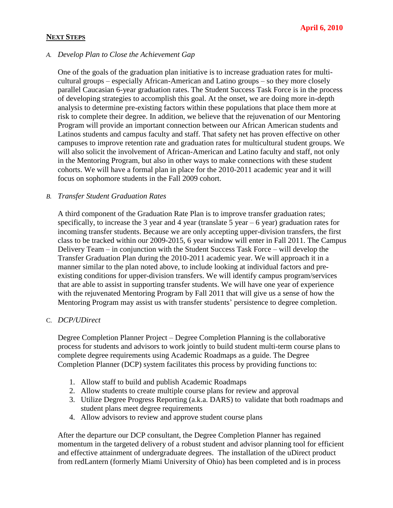#### **NEXT STEPS**

#### *A. Develop Plan to Close the Achievement Gap*

One of the goals of the graduation plan initiative is to increase graduation rates for multicultural groups – especially African-American and Latino groups – so they more closely parallel Caucasian 6-year graduation rates. The Student Success Task Force is in the process of developing strategies to accomplish this goal. At the onset, we are doing more in-depth analysis to determine pre-existing factors within these populations that place them more at risk to complete their degree. In addition, we believe that the rejuvenation of our Mentoring Program will provide an important connection between our African American students and Latinos students and campus faculty and staff. That safety net has proven effective on other campuses to improve retention rate and graduation rates for multicultural student groups. We will also solicit the involvement of African-American and Latino faculty and staff, not only in the Mentoring Program, but also in other ways to make connections with these student cohorts. We will have a formal plan in place for the 2010-2011 academic year and it will focus on sophomore students in the Fall 2009 cohort.

### *B. Transfer Student Graduation Rates*

A third component of the Graduation Rate Plan is to improve transfer graduation rates; specifically, to increase the 3 year and 4 year (translate 5 year  $-6$  year) graduation rates for incoming transfer students. Because we are only accepting upper-division transfers, the first class to be tracked within our 2009-2015, 6 year window will enter in Fall 2011. The Campus Delivery Team – in conjunction with the Student Success Task Force – will develop the Transfer Graduation Plan during the 2010-2011 academic year. We will approach it in a manner similar to the plan noted above, to include looking at individual factors and preexisting conditions for upper-division transfers. We will identify campus program/services that are able to assist in supporting transfer students. We will have one year of experience with the rejuvenated Mentoring Program by Fall 2011 that will give us a sense of how the Mentoring Program may assist us with transfer students' persistence to degree completion.

#### C. *DCP/UDirect*

Degree Completion Planner Project – Degree Completion Planning is the collaborative process for students and advisors to work jointly to build student multi-term course plans to complete degree requirements using Academic Roadmaps as a guide. The Degree Completion Planner (DCP) system facilitates this process by providing functions to:

- 1. Allow staff to build and publish Academic Roadmaps
- 2. Allow students to create multiple course plans for review and approval
- 3. Utilize Degree Progress Reporting (a.k.a. DARS) to validate that both roadmaps and student plans meet degree requirements
- 4. Allow advisors to review and approve student course plans

After the departure our DCP consultant, the Degree Completion Planner has regained momentum in the targeted delivery of a robust student and advisor planning tool for efficient and effective attainment of undergraduate degrees. The installation of the uDirect product from redLantern (formerly Miami University of Ohio) has been completed and is in process